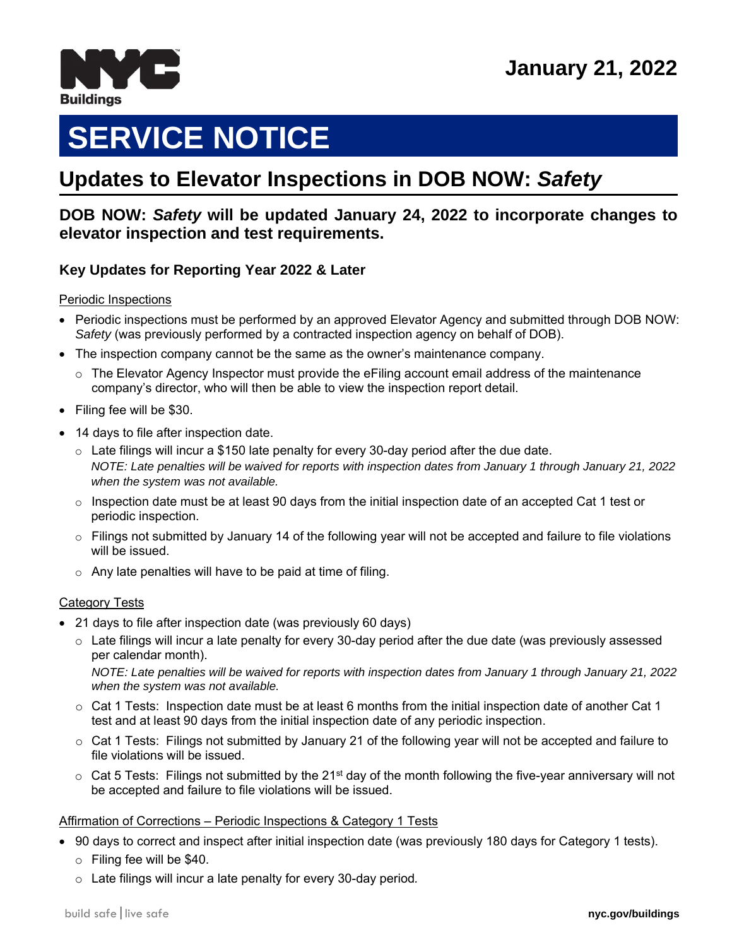

# **SERVICE NOTICE**

# **June 2010 Updates to Elevator Inspections in DOB NOW:** *Safety*

# **DOB NOW:** *Safety* **will be updated January 24, 2022 to incorporate changes to elevator inspection and test requirements.**

# **Key Updates for Reporting Year 2022 & Later**

#### Periodic Inspections

- Periodic inspections must be performed by an approved Elevator Agency and submitted through DOB NOW: *Safety* (was previously performed by a contracted inspection agency on behalf of DOB).
- The inspection company cannot be the same as the owner's maintenance company.
	- $\circ$  The Elevator Agency Inspector must provide the eFiling account email address of the maintenance company's director, who will then be able to view the inspection report detail.
- Filing fee will be \$30.
- 14 days to file after inspection date.
	- $\circ$  Late filings will incur a \$150 late penalty for every 30-day period after the due date. *NOTE: Late penalties will be waived for reports with inspection dates from January 1 through January 21, 2022 when the system was not available.*
	- $\circ$  Inspection date must be at least 90 days from the initial inspection date of an accepted Cat 1 test or periodic inspection.
	- $\circ$  Filings not submitted by January 14 of the following year will not be accepted and failure to file violations will be issued.
	- $\circ$  Any late penalties will have to be paid at time of filing.

#### **Category Tests**

- 21 days to file after inspection date (was previously 60 days)
	- $\circ$  Late filings will incur a late penalty for every 30-day period after the due date (was previously assessed per calendar month).

*NOTE: Late penalties will be waived for reports with inspection dates from January 1 through January 21, 2022 when the system was not available.*

- $\circ$  Cat 1 Tests: Inspection date must be at least 6 months from the initial inspection date of another Cat 1 test and at least 90 days from the initial inspection date of any periodic inspection.
- $\circ$  Cat 1 Tests: Filings not submitted by January 21 of the following year will not be accepted and failure to file violations will be issued.
- $\circ$  Cat 5 Tests: Filings not submitted by the 21<sup>st</sup> day of the month following the five-year anniversary will not be accepted and failure to file violations will be issued.

#### Affirmation of Corrections – Periodic Inspections & Category 1 Tests

- 90 days to correct and inspect after initial inspection date (was previously 180 days for Category 1 tests).
	- o Filing fee will be \$40.
	- o Late filings will incur a late penalty for every 30-day period*.*